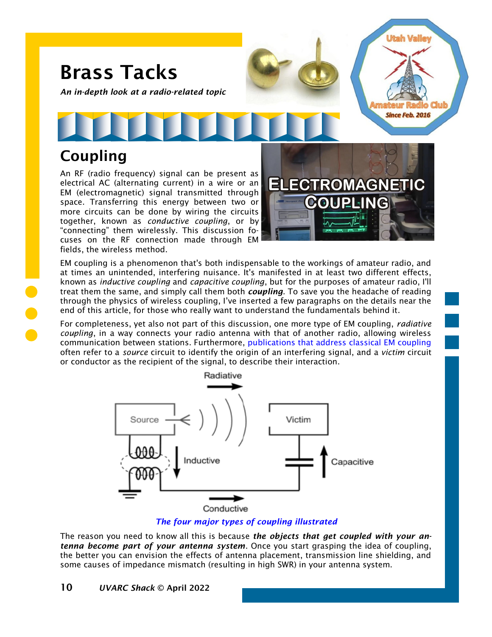

*An in-depth look at a radio-related topic*

# Coupling

An RF (radio frequency) signal can be present as electrical AC (alternating current) in a wire or an EM (electromagnetic) signal transmitted through space. Transferring this energy between two or more circuits can be done by wiring the circuits together, known as *conductive coupling*, or by "connecting" them wirelessly. This discussion focuses on the RF connection made through EM fields, the wireless method.



Utah Valle

**Since Feb. 2016** 

EM coupling is a phenomenon that's both indispensable to the workings of amateur radio, and at times an unintended, interfering nuisance. It's manifested in at least two different effects, known as *inductive coupling* and *capacitive coupling*, but for the purposes of amateur radio, I'll treat them the same, and simply call them both *coupling*. To save you the headache of reading through the physics of wireless coupling, I've inserted a few paragraphs on the details near the end of this article, for those who really want to understand the fundamentals behind it.

For completeness, yet also not part of this discussion, one more type of EM coupling, *radiative coupling*, in a way connects your radio antenna with that of another radio, allowing wireless communication between stations. Furthermore, [publications that address classical EM coupling](https://resources.system-analysis.cadence.com/blog/msa2021-what-is-electromagnetic-coupling) often refer to a *source* circuit to identify the origin of an interfering signal, and a *victim* circuit or conductor as the recipient of the signal, to describe their interaction.



#### *The four major types of coupling illustrated*

The reason you need to know all this is because *the objects that get coupled with your antenna become part of your antenna system*. Once you start grasping the idea of coupling, the better you can envision the effects of antenna placement, transmission line shielding, and some causes of impedance mismatch (resulting in high SWR) in your antenna system.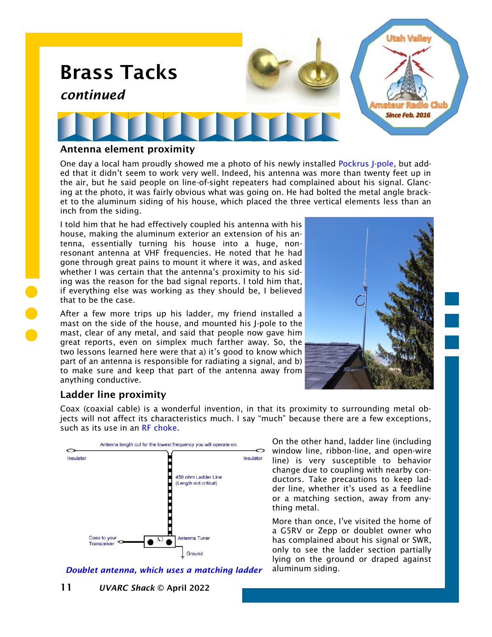

#### Antenna element proximity

One day a local ham proudly showed me a photo of his newly installed [Pockrus J-pole,](https://noji.com/hamradio/jpole.php) but added that it didn't seem to work very well. Indeed, his antenna was more than twenty feet up in the air, but he said people on line-of-sight repeaters had complained about his signal. Glancing at the photo, it was fairly obvious what was going on. He had bolted the metal angle bracket to the aluminum siding of his house, which placed the three vertical elements less than an inch from the siding.

I told him that he had effectively coupled his antenna with his house, making the aluminum exterior an extension of his antenna, essentially turning his house into a huge, nonresonant antenna at VHF frequencies. He noted that he had gone through great pains to mount it where it was, and asked whether I was certain that the antenna's proximity to his siding was the reason for the bad signal reports. I told him that, if everything else was working as they should be, I believed that to be the case.

After a few more trips up his ladder, my friend installed a mast on the side of the house, and mounted his J-pole to the mast, clear of any metal, and said that people now gave him great reports, even on simplex much farther away. So, the two lessons learned here were that a) it's good to know which part of an antenna is responsible for radiating a signal, and b) to make sure and keep that part of the antenna away from anything conductive.



# Ladder line proximity

Coax (coaxial cable) is a wonderful invention, in that its proximity to surrounding metal objects will not affect its characteristics much. I say "much" because there are a few exceptions, such as its use in an [RF choke.](https://noji.com/hamradio/pdf-ppt/noji/Noji-Article-RF-Chokes.pdf)



On the other hand, ladder line (including window line, ribbon-line, and open-wire line) is very susceptible to behavior change due to coupling with nearby conductors. Take precautions to keep ladder line, whether it's used as a feedline or a matching section, away from anything metal.

More than once, I've visited the home of a G5RV or Zepp or doublet owner who has complained about his signal or SWR, only to see the ladder section partially lying on the ground or draped against

*Doublet antenna, which uses a matching ladder* aluminum siding.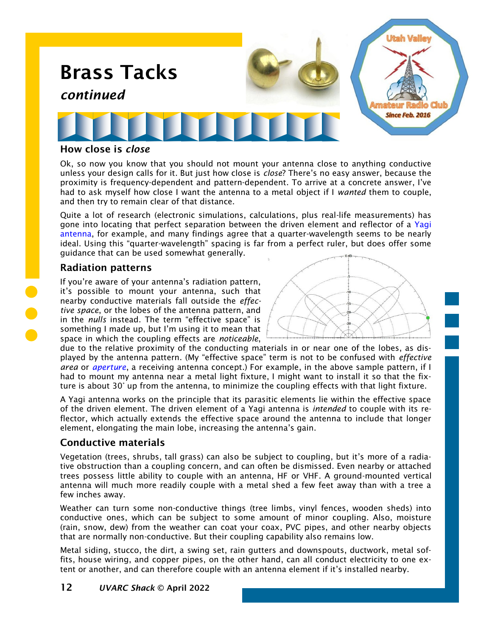

#### How close is *close*

Ok, so now you know that you should not mount your antenna close to anything conductive unless your design calls for it. But just how close is *close*? There's no easy answer, because the proximity is frequency-dependent and pattern-dependent. To arrive at a concrete answer, I've had to ask myself how close I want the antenna to a metal object if I *wanted* them to couple, and then try to remain clear of that distance.

Quite a lot of research (electronic simulations, calculations, plus real-life measurements) has gone into locating that perfect separation between the driven element and reflector of a Yagi [antenna,](https://noji.com/hamradio/pdf-ppt/noji/Noji-Article-Yagi-Antenna.pdf) for example, and many findings agree that a quarter-wavelength seems to be nearly ideal. Using this "quarter-wavelength" spacing is far from a perfect ruler, but does offer some guidance that can be used somewhat generally.

#### Radiation patterns

If you're aware of your antenna's radiation pattern, it's possible to mount your antenna, such that nearby conductive materials fall outside the *effective space*, or the lobes of the antenna pattern, and in the *nulls* instead. The term "effective space" is something I made up, but I'm using it to mean that space in which the coupling effects are *noticeable*,

due to the relative proximity of the conducting materials in or near one of the lobes, as displayed by the antenna pattern. (My "effective space" term is not to be confused with *effective area* or *[aperture](https://en.wikipedia.org/wiki/Antenna_aperture)*, a receiving antenna concept.) For example, in the above sample pattern, if I had to mount my antenna near a metal light fixture, I might want to install it so that the fixture is about 30° up from the antenna, to minimize the coupling effects with that light fixture.

A Yagi antenna works on the principle that its parasitic elements lie within the effective space of the driven element. The driven element of a Yagi antenna is *intended* to couple with its reflector, which actually extends the effective space around the antenna to include that longer element, elongating the main lobe, increasing the antenna's gain.

#### Conductive materials

Vegetation (trees, shrubs, tall grass) can also be subject to coupling, but it's more of a radiative obstruction than a coupling concern, and can often be dismissed. Even nearby or attached trees possess little ability to couple with an antenna, HF or VHF. A ground-mounted vertical antenna will much more readily couple with a metal shed a few feet away than with a tree a few inches away.

Weather can turn some non-conductive things (tree limbs, vinyl fences, wooden sheds) into conductive ones, which can be subject to some amount of minor coupling. Also, moisture (rain, snow, dew) from the weather can coat your coax, PVC pipes, and other nearby objects that are normally non-conductive. But their coupling capability also remains low.

Metal siding, stucco, the dirt, a swing set, rain gutters and downspouts, ductwork, metal soffits, house wiring, and copper pipes, on the other hand, can all conduct electricity to one extent or another, and can therefore couple with an antenna element if it's installed nearby.